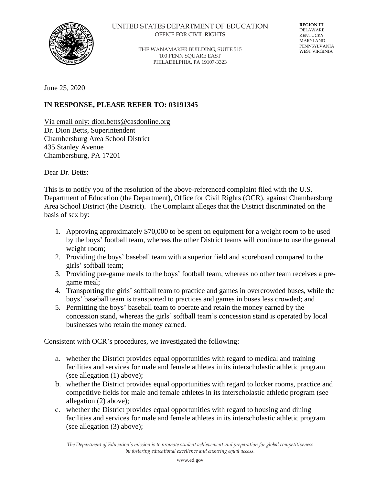

### UNITED STATES DEPARTMENT OF EDUCATION OFFICE FOR CIVIL RIGHTS

THE WANAMAKER BUILDING, SUITE 515 100 PENN SQUARE EAST PHILADELPHIA, PA 19107-3323

**REGION III** DELAWARE KENTUCKY MARYLAND PENNSYLVANIA WEST VIRGINIA

June 25, 2020

# **IN RESPONSE, PLEASE REFER TO: 03191345**

Via email only: dion.betts@casdonline.org Dr. Dion Betts, Superintendent Chambersburg Area School District 435 Stanley Avenue Chambersburg, PA 17201

Dear Dr. Betts:

This is to notify you of the resolution of the above-referenced complaint filed with the U.S. Department of Education (the Department), Office for Civil Rights (OCR), against Chambersburg Area School District (the District). The Complaint alleges that the District discriminated on the basis of sex by:

- 1. Approving approximately \$70,000 to be spent on equipment for a weight room to be used by the boys' football team, whereas the other District teams will continue to use the general weight room;
- 2. Providing the boys' baseball team with a superior field and scoreboard compared to the girls' softball team;
- 3. Providing pre-game meals to the boys' football team, whereas no other team receives a pregame meal;
- 4. Transporting the girls' softball team to practice and games in overcrowded buses, while the boys' baseball team is transported to practices and games in buses less crowded; and
- 5. Permitting the boys' baseball team to operate and retain the money earned by the concession stand, whereas the girls' softball team's concession stand is operated by local businesses who retain the money earned.

Consistent with OCR's procedures, we investigated the following:

- a. whether the District provides equal opportunities with regard to medical and training facilities and services for male and female athletes in its interscholastic athletic program (see allegation (1) above);
- b. whether the District provides equal opportunities with regard to locker rooms, practice and competitive fields for male and female athletes in its interscholastic athletic program (see allegation (2) above);
- c. whether the District provides equal opportunities with regard to housing and dining facilities and services for male and female athletes in its interscholastic athletic program (see allegation (3) above);

*The Department of Education's mission is to promote student achievement and preparation for global competitiveness by fostering educational excellence and ensuring equal access.*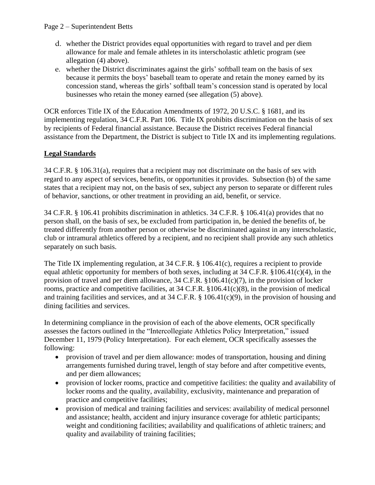- d. whether the District provides equal opportunities with regard to travel and per diem allowance for male and female athletes in its interscholastic athletic program (see allegation (4) above).
- e. whether the District discriminates against the girls' softball team on the basis of sex because it permits the boys' baseball team to operate and retain the money earned by its concession stand, whereas the girls' softball team's concession stand is operated by local businesses who retain the money earned (see allegation (5) above).

OCR enforces Title IX of the Education Amendments of 1972, 20 U.S.C. § 1681, and its implementing regulation, 34 C.F.R. Part 106. Title IX prohibits discrimination on the basis of sex by recipients of Federal financial assistance. Because the District receives Federal financial assistance from the Department, the District is subject to Title IX and its implementing regulations.

# **Legal Standards**

34 C.F.R. § 106.31(a), requires that a recipient may not discriminate on the basis of sex with regard to any aspect of services, benefits, or opportunities it provides. Subsection (b) of the same states that a recipient may not, on the basis of sex, subject any person to separate or different rules of behavior, sanctions, or other treatment in providing an aid, benefit, or service.

34 C.F.R. § 106.41 prohibits discrimination in athletics. 34 C.F.R. § 106.41(a) provides that no person shall, on the basis of sex, be excluded from participation in, be denied the benefits of, be treated differently from another person or otherwise be discriminated against in any interscholastic, club or intramural athletics offered by a recipient, and no recipient shall provide any such athletics separately on such basis.

The Title IX implementing regulation, at 34 C.F.R. § 106.41(c), requires a recipient to provide equal athletic opportunity for members of both sexes, including at 34 C.F.R. §106.41(c)(4), in the provision of travel and per diem allowance, 34 C.F.R. §106.41(c)(7), in the provision of locker rooms, practice and competitive facilities, at 34 C.F.R. §106.41(c)(8), in the provision of medical and training facilities and services, and at 34 C.F.R. § 106.41(c)(9), in the provision of housing and dining facilities and services.

In determining compliance in the provision of each of the above elements, OCR specifically assesses the factors outlined in the "Intercollegiate Athletics Policy Interpretation," issued December 11, 1979 (Policy Interpretation). For each element, OCR specifically assesses the following:

- provision of travel and per diem allowance: modes of transportation, housing and dining arrangements furnished during travel, length of stay before and after competitive events, and per diem allowances;
- provision of locker rooms, practice and competitive facilities: the quality and availability of locker rooms and the quality, availability, exclusivity, maintenance and preparation of practice and competitive facilities;
- provision of medical and training facilities and services: availability of medical personnel and assistance; health, accident and injury insurance coverage for athletic participants; weight and conditioning facilities; availability and qualifications of athletic trainers; and quality and availability of training facilities;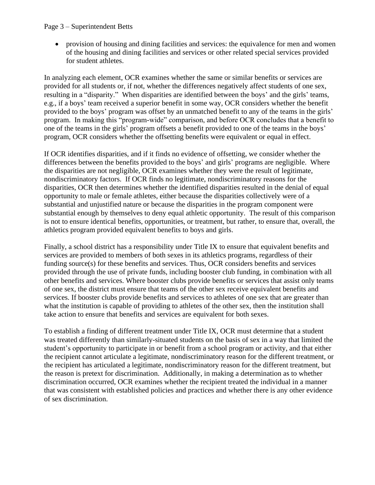### Page 3 – Superintendent Betts

• provision of housing and dining facilities and services: the equivalence for men and women of the housing and dining facilities and services or other related special services provided for student athletes.

In analyzing each element, OCR examines whether the same or similar benefits or services are provided for all students or, if not, whether the differences negatively affect students of one sex, resulting in a "disparity." When disparities are identified between the boys' and the girls' teams, e.g., if a boys' team received a superior benefit in some way, OCR considers whether the benefit provided to the boys' program was offset by an unmatched benefit to any of the teams in the girls' program. In making this "program-wide" comparison, and before OCR concludes that a benefit to one of the teams in the girls' program offsets a benefit provided to one of the teams in the boys' program, OCR considers whether the offsetting benefits were equivalent or equal in effect.

If OCR identifies disparities, and if it finds no evidence of offsetting, we consider whether the differences between the benefits provided to the boys' and girls' programs are negligible. Where the disparities are not negligible, OCR examines whether they were the result of legitimate, nondiscriminatory factors. If OCR finds no legitimate, nondiscriminatory reasons for the disparities, OCR then determines whether the identified disparities resulted in the denial of equal opportunity to male or female athletes, either because the disparities collectively were of a substantial and unjustified nature or because the disparities in the program component were substantial enough by themselves to deny equal athletic opportunity. The result of this comparison is not to ensure identical benefits, opportunities, or treatment, but rather, to ensure that, overall, the athletics program provided equivalent benefits to boys and girls.

Finally, a school district has a responsibility under Title IX to ensure that equivalent benefits and services are provided to members of both sexes in its athletics programs, regardless of their funding source(s) for these benefits and services. Thus, OCR considers benefits and services provided through the use of private funds, including booster club funding, in combination with all other benefits and services. Where booster clubs provide benefits or services that assist only teams of one sex, the district must ensure that teams of the other sex receive equivalent benefits and services. If booster clubs provide benefits and services to athletes of one sex that are greater than what the institution is capable of providing to athletes of the other sex, then the institution shall take action to ensure that benefits and services are equivalent for both sexes.

To establish a finding of different treatment under Title IX, OCR must determine that a student was treated differently than similarly-situated students on the basis of sex in a way that limited the student's opportunity to participate in or benefit from a school program or activity, and that either the recipient cannot articulate a legitimate, nondiscriminatory reason for the different treatment, or the recipient has articulated a legitimate, nondiscriminatory reason for the different treatment, but the reason is pretext for discrimination. Additionally, in making a determination as to whether discrimination occurred, OCR examines whether the recipient treated the individual in a manner that was consistent with established policies and practices and whether there is any other evidence of sex discrimination.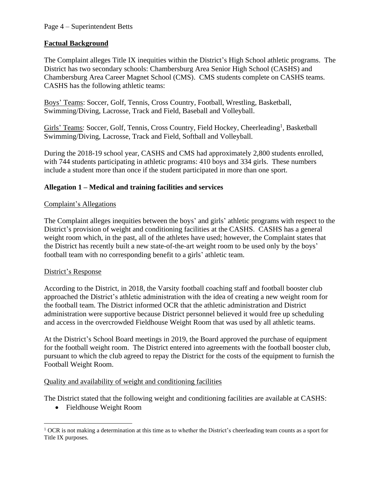# **Factual Background**

The Complaint alleges Title IX inequities within the District's High School athletic programs. The District has two secondary schools: Chambersburg Area Senior High School (CASHS) and Chambersburg Area Career Magnet School (CMS). CMS students complete on CASHS teams. CASHS has the following athletic teams:

Boys' Teams: Soccer, Golf, Tennis, Cross Country, Football, Wrestling, Basketball, Swimming/Diving, Lacrosse, Track and Field, Baseball and Volleyball.

Girls' Teams: Soccer, Golf, Tennis, Cross Country, Field Hockey, Cheerleading<sup>1</sup>, Basketball Swimming/Diving, Lacrosse, Track and Field, Softball and Volleyball.

During the 2018-19 school year, CASHS and CMS had approximately 2,800 students enrolled, with 744 students participating in athletic programs: 410 boys and 334 girls. These numbers include a student more than once if the student participated in more than one sport.

# **Allegation 1 – Medical and training facilities and services**

# Complaint's Allegations

The Complaint alleges inequities between the boys' and girls' athletic programs with respect to the District's provision of weight and conditioning facilities at the CASHS. CASHS has a general weight room which, in the past, all of the athletes have used; however, the Complaint states that the District has recently built a new state-of-the-art weight room to be used only by the boys' football team with no corresponding benefit to a girls' athletic team.

# District's Response

According to the District, in 2018, the Varsity football coaching staff and football booster club approached the District's athletic administration with the idea of creating a new weight room for the football team. The District informed OCR that the athletic administration and District administration were supportive because District personnel believed it would free up scheduling and access in the overcrowded Fieldhouse Weight Room that was used by all athletic teams.

At the District's School Board meetings in 2019, the Board approved the purchase of equipment for the football weight room. The District entered into agreements with the football booster club, pursuant to which the club agreed to repay the District for the costs of the equipment to furnish the Football Weight Room.

# Quality and availability of weight and conditioning facilities

The District stated that the following weight and conditioning facilities are available at CASHS:

• Fieldhouse Weight Room

 $<sup>1</sup>$  OCR is not making a determination at this time as to whether the District's cheerleading team counts as a sport for</sup> Title IX purposes.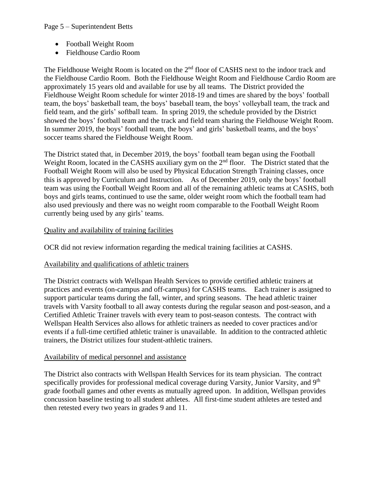- Football Weight Room
- Fieldhouse Cardio Room

The Fieldhouse Weight Room is located on the 2<sup>nd</sup> floor of CASHS next to the indoor track and the Fieldhouse Cardio Room. Both the Fieldhouse Weight Room and Fieldhouse Cardio Room are approximately 15 years old and available for use by all teams. The District provided the Fieldhouse Weight Room schedule for winter 2018-19 and times are shared by the boys' football team, the boys' basketball team, the boys' baseball team, the boys' volleyball team, the track and field team, and the girls' softball team. In spring 2019, the schedule provided by the District showed the boys' football team and the track and field team sharing the Fieldhouse Weight Room. In summer 2019, the boys' football team, the boys' and girls' basketball teams, and the boys' soccer teams shared the Fieldhouse Weight Room.

The District stated that, in December 2019, the boys' football team began using the Football Weight Room, located in the CASHS auxiliary gym on the 2<sup>nd</sup> floor. The District stated that the Football Weight Room will also be used by Physical Education Strength Training classes, once this is approved by Curriculum and Instruction. As of December 2019, only the boys' football team was using the Football Weight Room and all of the remaining athletic teams at CASHS, both boys and girls teams, continued to use the same, older weight room which the football team had also used previously and there was no weight room comparable to the Football Weight Room currently being used by any girls' teams.

# Quality and availability of training facilities

OCR did not review information regarding the medical training facilities at CASHS.

# Availability and qualifications of athletic trainers

The District contracts with Wellspan Health Services to provide certified athletic trainers at practices and events (on-campus and off-campus) for CASHS teams. Each trainer is assigned to support particular teams during the fall, winter, and spring seasons. The head athletic trainer travels with Varsity football to all away contests during the regular season and post-season, and a Certified Athletic Trainer travels with every team to post-season contests. The contract with Wellspan Health Services also allows for athletic trainers as needed to cover practices and/or events if a full-time certified athletic trainer is unavailable. In addition to the contracted athletic trainers, the District utilizes four student-athletic trainers.

# Availability of medical personnel and assistance

The District also contracts with Wellspan Health Services for its team physician. The contract specifically provides for professional medical coverage during Varsity, Junior Varsity, and  $9<sup>th</sup>$ grade football games and other events as mutually agreed upon. In addition, Wellspan provides concussion baseline testing to all student athletes. All first-time student athletes are tested and then retested every two years in grades 9 and 11.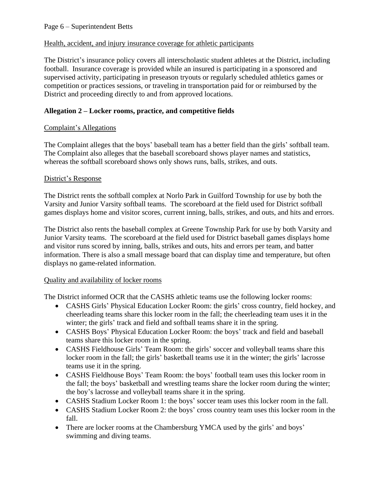# Health, accident, and injury insurance coverage for athletic participants

The District's insurance policy covers all interscholastic student athletes at the District, including football. Insurance coverage is provided while an insured is participating in a sponsored and supervised activity, participating in preseason tryouts or regularly scheduled athletics games or competition or practices sessions, or traveling in transportation paid for or reimbursed by the District and proceeding directly to and from approved locations.

# **Allegation 2 – Locker rooms, practice, and competitive fields**

# Complaint's Allegations

The Complaint alleges that the boys' baseball team has a better field than the girls' softball team. The Complaint also alleges that the baseball scoreboard shows player names and statistics, whereas the softball scoreboard shows only shows runs, balls, strikes, and outs.

# District's Response

The District rents the softball complex at Norlo Park in Guilford Township for use by both the Varsity and Junior Varsity softball teams. The scoreboard at the field used for District softball games displays home and visitor scores, current inning, balls, strikes, and outs, and hits and errors.

The District also rents the baseball complex at Greene Township Park for use by both Varsity and Junior Varsity teams. The scoreboard at the field used for District baseball games displays home and visitor runs scored by inning, balls, strikes and outs, hits and errors per team, and batter information. There is also a small message board that can display time and temperature, but often displays no game-related information.

# Quality and availability of locker rooms

The District informed OCR that the CASHS athletic teams use the following locker rooms:

- CASHS Girls' Physical Education Locker Room: the girls' cross country, field hockey, and cheerleading teams share this locker room in the fall; the cheerleading team uses it in the winter; the girls' track and field and softball teams share it in the spring.
- CASHS Boys' Physical Education Locker Room: the boys' track and field and baseball teams share this locker room in the spring.
- CASHS Fieldhouse Girls' Team Room: the girls' soccer and volleyball teams share this locker room in the fall; the girls' basketball teams use it in the winter; the girls' lacrosse teams use it in the spring.
- CASHS Fieldhouse Boys' Team Room: the boys' football team uses this locker room in the fall; the boys' basketball and wrestling teams share the locker room during the winter; the boy's lacrosse and volleyball teams share it in the spring.
- CASHS Stadium Locker Room 1: the boys' soccer team uses this locker room in the fall.
- CASHS Stadium Locker Room 2: the boys' cross country team uses this locker room in the fall.
- There are locker rooms at the Chambersburg YMCA used by the girls' and boys' swimming and diving teams.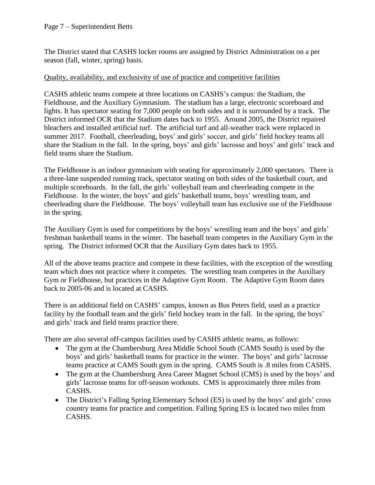### Page 7 – Superintendent Betts

The District stated that CASHS locker rooms are assigned by District Administration on a per season (fall, winter, spring) basis.

### Quality, availability, and exclusivity of use of practice and competitive facilities

CASHS athletic teams compete at three locations on CASHS's campus: the Stadium, the Fieldhouse, and the Auxiliary Gymnasium. The stadium has a large, electronic scoreboard and lights. It has spectator seating for 7,000 people on both sides and it is surrounded by a track. The District informed OCR that the Stadium dates back to 1955. Around 2005, the District repaired bleachers and installed artificial turf. The artificial turf and all-weather track were replaced in summer 2017. Football, cheerleading, boys' and girls' soccer, and girls' field hockey teams all share the Stadium in the fall. In the spring, boys' and girls' lacrosse and boys' and girls' track and field teams share the Stadium.

The Fieldhouse is an indoor gymnasium with seating for approximately 2,000 spectators. There is a three-lane suspended running track, spectator seating on both sides of the basketball court, and multiple scoreboards. In the fall, the girls' volleyball team and cheerleading compete in the Fieldhouse. In the winter, the boys' and girls' basketball teams, boys' wrestling team, and cheerleading share the Fieldhouse. The boys' volleyball team has exclusive use of the Fieldhouse in the spring.

The Auxiliary Gym is used for competitions by the boys' wrestling team and the boys' and girls' freshman basketball teams in the winter. The baseball team competes in the Auxiliary Gym in the spring. The District informed OCR that the Auxiliary Gym dates back to 1955.

All of the above teams practice and compete in these facilities, with the exception of the wrestling team which does not practice where it competes. The wrestling team competes in the Auxiliary Gym or Fieldhouse, but practices in the Adaptive Gym Room. The Adaptive Gym Room dates back to 2005-06 and is located at CASHS.

There is an additional field on CASHS' campus, known as Bus Peters field, used as a practice facility by the football team and the girls' field hockey team in the fall. In the spring, the boys' and girls' track and field teams practice there.

There are also several off-campus facilities used by CASHS athletic teams, as follows:

- The gym at the Chambersburg Area Middle School South (CAMS South) is used by the boys' and girls' basketball teams for practice in the winter. The boys' and girls' lacrosse teams practice at CAMS South gym in the spring. CAMS South is .8 miles from CASHS.
- The gym at the Chambersburg Area Career Magnet School (CMS) is used by the boys' and girls' lacrosse teams for off-season workouts. CMS is approximately three miles from CASHS.
- The District's Falling Spring Elementary School (ES) is used by the boys' and girls' cross country teams for practice and competition. Falling Spring ES is located two miles from CASHS.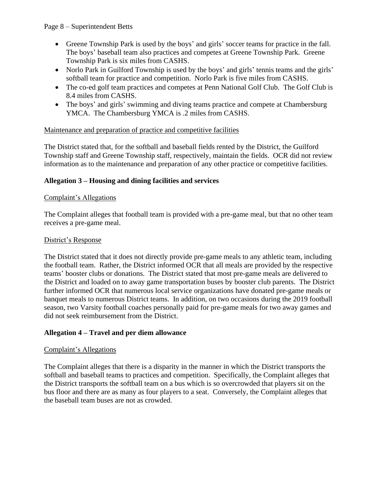## Page 8 – Superintendent Betts

- Greene Township Park is used by the boys' and girls' soccer teams for practice in the fall. The boys' baseball team also practices and competes at Greene Township Park. Greene Township Park is six miles from CASHS.
- Norlo Park in Guilford Township is used by the boys' and girls' tennis teams and the girls' softball team for practice and competition. Norlo Park is five miles from CASHS.
- The co-ed golf team practices and competes at Penn National Golf Club. The Golf Club is 8.4 miles from CASHS.
- The boys' and girls' swimming and diving teams practice and compete at Chambersburg YMCA. The Chambersburg YMCA is .2 miles from CASHS.

# Maintenance and preparation of practice and competitive facilities

The District stated that, for the softball and baseball fields rented by the District, the Guilford Township staff and Greene Township staff, respectively, maintain the fields. OCR did not review information as to the maintenance and preparation of any other practice or competitive facilities.

# **Allegation 3 – Housing and dining facilities and services**

# Complaint's Allegations

The Complaint alleges that football team is provided with a pre-game meal, but that no other team receives a pre-game meal.

## District's Response

The District stated that it does not directly provide pre-game meals to any athletic team, including the football team. Rather, the District informed OCR that all meals are provided by the respective teams' booster clubs or donations. The District stated that most pre-game meals are delivered to the District and loaded on to away game transportation buses by booster club parents. The District further informed OCR that numerous local service organizations have donated pre-game meals or banquet meals to numerous District teams. In addition, on two occasions during the 2019 football season, two Varsity football coaches personally paid for pre-game meals for two away games and did not seek reimbursement from the District.

# **Allegation 4 – Travel and per diem allowance**

# Complaint's Allegations

The Complaint alleges that there is a disparity in the manner in which the District transports the softball and baseball teams to practices and competition. Specifically, the Complaint alleges that the District transports the softball team on a bus which is so overcrowded that players sit on the bus floor and there are as many as four players to a seat. Conversely, the Complaint alleges that the baseball team buses are not as crowded.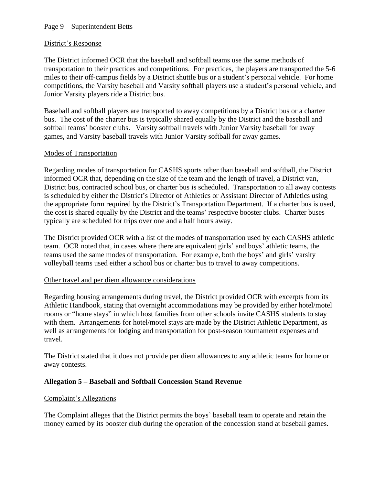## Page 9 – Superintendent Betts

### District's Response

The District informed OCR that the baseball and softball teams use the same methods of transportation to their practices and competitions. For practices, the players are transported the 5-6 miles to their off-campus fields by a District shuttle bus or a student's personal vehicle. For home competitions, the Varsity baseball and Varsity softball players use a student's personal vehicle, and Junior Varsity players ride a District bus.

Baseball and softball players are transported to away competitions by a District bus or a charter bus. The cost of the charter bus is typically shared equally by the District and the baseball and softball teams' booster clubs. Varsity softball travels with Junior Varsity baseball for away games, and Varsity baseball travels with Junior Varsity softball for away games.

### Modes of Transportation

Regarding modes of transportation for CASHS sports other than baseball and softball, the District informed OCR that, depending on the size of the team and the length of travel, a District van, District bus, contracted school bus, or charter bus is scheduled. Transportation to all away contests is scheduled by either the District's Director of Athletics or Assistant Director of Athletics using the appropriate form required by the District's Transportation Department. If a charter bus is used, the cost is shared equally by the District and the teams' respective booster clubs. Charter buses typically are scheduled for trips over one and a half hours away.

The District provided OCR with a list of the modes of transportation used by each CASHS athletic team. OCR noted that, in cases where there are equivalent girls' and boys' athletic teams, the teams used the same modes of transportation. For example, both the boys' and girls' varsity volleyball teams used either a school bus or charter bus to travel to away competitions.

#### Other travel and per diem allowance considerations

Regarding housing arrangements during travel, the District provided OCR with excerpts from its Athletic Handbook, stating that overnight accommodations may be provided by either hotel/motel rooms or "home stays" in which host families from other schools invite CASHS students to stay with them. Arrangements for hotel/motel stays are made by the District Athletic Department, as well as arrangements for lodging and transportation for post-season tournament expenses and travel.

The District stated that it does not provide per diem allowances to any athletic teams for home or away contests.

# **Allegation 5 – Baseball and Softball Concession Stand Revenue**

#### Complaint's Allegations

The Complaint alleges that the District permits the boys' baseball team to operate and retain the money earned by its booster club during the operation of the concession stand at baseball games.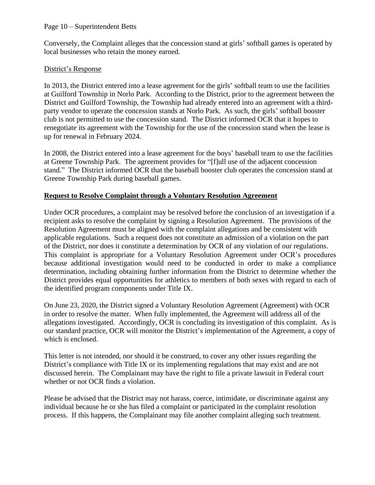### Page 10 – Superintendent Betts

Conversely, the Complaint alleges that the concession stand at girls' softball games is operated by local businesses who retain the money earned.

## District's Response

In 2013, the District entered into a lease agreement for the girls' softball team to use the facilities at Guilford Township in Norlo Park. According to the District, prior to the agreement between the District and Guilford Township, the Township had already entered into an agreement with a thirdparty vendor to operate the concession stands at Norlo Park. As such, the girls' softball booster club is not permitted to use the concession stand. The District informed OCR that it hopes to renegotiate its agreement with the Township for the use of the concession stand when the lease is up for renewal in February 2024.

In 2008, the District entered into a lease agreement for the boys' baseball team to use the facilities at Greene Township Park. The agreement provides for "[f]ull use of the adjacent concession stand." The District informed OCR that the baseball booster club operates the concession stand at Greene Township Park during baseball games.

### **Request to Resolve Complaint through a Voluntary Resolution Agreement**

Under OCR procedures, a complaint may be resolved before the conclusion of an investigation if a recipient asks to resolve the complaint by signing a Resolution Agreement. The provisions of the Resolution Agreement must be aligned with the complaint allegations and be consistent with applicable regulations. Such a request does not constitute an admission of a violation on the part of the District, nor does it constitute a determination by OCR of any violation of our regulations. This complaint is appropriate for a Voluntary Resolution Agreement under OCR's procedures because additional investigation would need to be conducted in order to make a compliance determination, including obtaining further information from the District to determine whether the District provides equal opportunities for athletics to members of both sexes with regard to each of the identified program components under Title IX.

On June 23, 2020, the District signed a Voluntary Resolution Agreement (Agreement) with OCR in order to resolve the matter. When fully implemented, the Agreement will address all of the allegations investigated. Accordingly, OCR is concluding its investigation of this complaint. As is our standard practice, OCR will monitor the District's implementation of the Agreement, a copy of which is enclosed.

This letter is not intended, nor should it be construed, to cover any other issues regarding the District's compliance with Title IX or its implementing regulations that may exist and are not discussed herein. The Complainant may have the right to file a private lawsuit in Federal court whether or not OCR finds a violation.

Please be advised that the District may not harass, coerce, intimidate, or discriminate against any individual because he or she has filed a complaint or participated in the complaint resolution process. If this happens, the Complainant may file another complaint alleging such treatment.